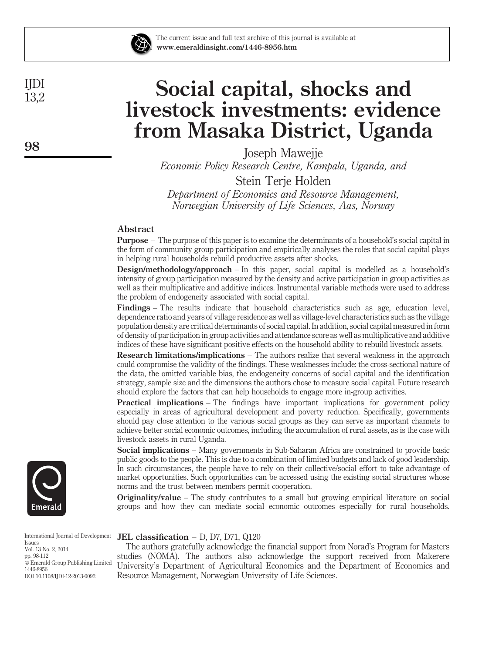

The current issue and full text archive of this journal is available at www.emeraldinsight.com/1446-8956.htm

# IJDI 13,2

# Social capital, shocks and livestock investments: evidence from Masaka District, Uganda

Joseph Mawejje Economic Policy Research Centre, Kampala, Uganda, and Stein Terie Holden

Department of Economics and Resource Management, Norwegian University of Life Sciences, Aas, Norway

## Abstract

Purpose – The purpose of this paper is to examine the determinants of a household's social capital in the form of community group participation and empirically analyses the roles that social capital plays in helping rural households rebuild productive assets after shocks.

**Design/methodology/approach** – In this paper, social capital is modelled as a household's intensity of group participation measured by the density and active participation in group activities as well as their multiplicative and additive indices. Instrumental variable methods were used to address the problem of endogeneity associated with social capital.

Findings – The results indicate that household characteristics such as age, education level, dependence ratio and years of village residence as well as village-level characteristics such as the village population density are critical determinants of social capital. In addition, social capital measured in form of density of participation in group activities and attendance score as well as multiplicative and additive indices of these have significant positive effects on the household ability to rebuild livestock assets.

Research limitations/implications – The authors realize that several weakness in the approach could compromise the validity of the findings. These weaknesses include: the cross-sectional nature of the data, the omitted variable bias, the endogeneity concerns of social capital and the identification strategy, sample size and the dimensions the authors chose to measure social capital. Future research should explore the factors that can help households to engage more in-group activities.

Practical implications – The findings have important implications for government policy especially in areas of agricultural development and poverty reduction. Specifically, governments should pay close attention to the various social groups as they can serve as important channels to achieve better social economic outcomes, including the accumulation of rural assets, as is the case with livestock assets in rural Uganda.

Social implications – Many governments in Sub-Saharan Africa are constrained to provide basic public goods to the people. This is due to a combination of limited budgets and lack of good leadership. In such circumstances, the people have to rely on their collective/social effort to take advantage of market opportunities. Such opportunities can be accessed using the existing social structures whose norms and the trust between members permit cooperation.

Originality/value – The study contributes to a small but growing empirical literature on social groups and how they can mediate social economic outcomes especially for rural households.

# JEL classification – D, D7, D71, Q120

The authors gratefully acknowledge the financial support from Norad's Program for Masters studies (NOMA). The authors also acknowledge the support received from Makerere University's Department of Agricultural Economics and the Department of Economics and Resource Management, Norwegian University of Life Sciences.



International Journal of Development Issues Vol. 13 No. 2, 2014 pp. 98-112 q Emerald Group Publishing Limited 1446-8956 DOI 10.1108/IJDI-12-2013-0092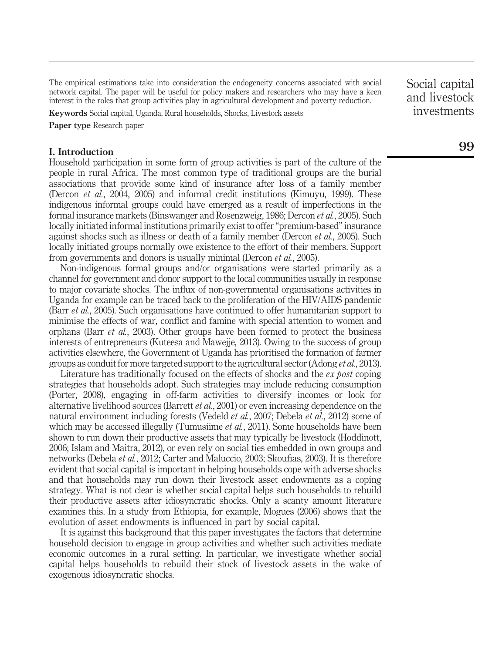The empirical estimations take into consideration the endogeneity concerns associated with social network capital. The paper will be useful for policy makers and researchers who may have a keen interest in the roles that group activities play in agricultural development and poverty reduction.

Keywords Social capital, Uganda, Rural households, Shocks, Livestock assets

Paper type Research paper

#### I. Introduction

Household participation in some form of group activities is part of the culture of the people in rural Africa. The most common type of traditional groups are the burial associations that provide some kind of insurance after loss of a family member (Dercon et al., 2004, 2005) and informal credit institutions (Kimuyu, 1999). These indigenous informal groups could have emerged as a result of imperfections in the formal insurance markets (Binswanger and Rosenzweig, 1986; Dercon et al., 2005). Such locally initiated informal institutions primarily exist to offer "premium-based" insurance against shocks such as illness or death of a family member (Dercon et al., 2005). Such locally initiated groups normally owe existence to the effort of their members. Support from governments and donors is usually minimal (Dercon et al., 2005).

Non-indigenous formal groups and/or organisations were started primarily as a channel for government and donor support to the local communities usually in response to major covariate shocks. The influx of non-governmental organisations activities in Uganda for example can be traced back to the proliferation of the HIV/AIDS pandemic (Barr *et al.*, 2005). Such organisations have continued to offer humanitarian support to minimise the effects of war, conflict and famine with special attention to women and orphans (Barr et al., 2003). Other groups have been formed to protect the business interests of entrepreneurs (Kuteesa and Mawejje, 2013). Owing to the success of group activities elsewhere, the Government of Uganda has prioritised the formation of farmer groups as conduit for more targeted support to the agricultural sector (Adong et al., 2013).

Literature has traditionally focused on the effects of shocks and the *ex post* coping strategies that households adopt. Such strategies may include reducing consumption (Porter, 2008), engaging in off-farm activities to diversify incomes or look for alternative livelihood sources (Barrett et al., 2001) or even increasing dependence on the natural environment including forests (Vedeld *et al.*, 2007; Debela *et al.*, 2012) some of which may be accessed illegally (Tumusiime *et al.*, 2011). Some households have been shown to run down their productive assets that may typically be livestock (Hoddinott, 2006; Islam and Maitra, 2012), or even rely on social ties embedded in own groups and networks (Debela et al., 2012; Carter and Maluccio, 2003; Skoufias, 2003). It is therefore evident that social capital is important in helping households cope with adverse shocks and that households may run down their livestock asset endowments as a coping strategy. What is not clear is whether social capital helps such households to rebuild their productive assets after idiosyncratic shocks. Only a scanty amount literature examines this. In a study from Ethiopia, for example, Mogues (2006) shows that the evolution of asset endowments is influenced in part by social capital.

It is against this background that this paper investigates the factors that determine household decision to engage in group activities and whether such activities mediate economic outcomes in a rural setting. In particular, we investigate whether social capital helps households to rebuild their stock of livestock assets in the wake of exogenous idiosyncratic shocks.

Social capital and livestock investments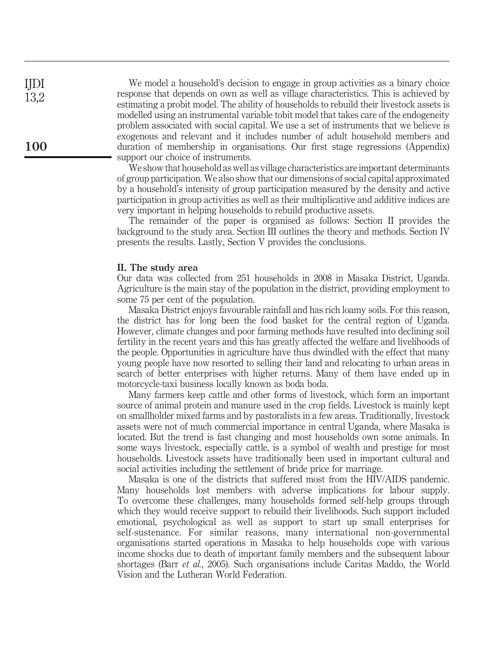We model a household's decision to engage in group activities as a binary choice response that depends on own as well as village characteristics. This is achieved by estimating a probit model. The ability of households to rebuild their livestock assets is modelled using an instrumental variable tobit model that takes care of the endogeneity problem associated with social capital. We use a set of instruments that we believe is exogenous and relevant and it includes number of adult household members and duration of membership in organisations. Our first stage regressions (Appendix) support our choice of instruments.

We show that household as well as village characteristics are important determinants of group participation. We also show that our dimensions of social capital approximated by a household's intensity of group participation measured by the density and active participation in group activities as well as their multiplicative and additive indices are very important in helping households to rebuild productive assets.

The remainder of the paper is organised as follows: Section II provides the background to the study area. Section III outlines the theory and methods. Section IV presents the results. Lastly, Section V provides the conclusions.

#### II. The study area

Our data was collected from 251 households in 2008 in Masaka District, Uganda. Agriculture is the main stay of the population in the district, providing employment to some 75 per cent of the population.

Masaka District enjoys favourable rainfall and has rich loamy soils. For this reason, the district has for long been the food basket for the central region of Uganda. However, climate changes and poor farming methods have resulted into declining soil fertility in the recent years and this has greatly affected the welfare and livelihoods of the people. Opportunities in agriculture have thus dwindled with the effect that many young people have now resorted to selling their land and relocating to urban areas in search of better enterprises with higher returns. Many of them have ended up in motorcycle-taxi business locally known as boda boda.

Many farmers keep cattle and other forms of livestock, which form an important source of animal protein and manure used in the crop fields. Livestock is mainly kept on smallholder mixed farms and by pastoralists in a few areas. Traditionally, livestock assets were not of much commercial importance in central Uganda, where Masaka is located. But the trend is fast changing and most households own some animals. In some ways livestock, especially cattle, is a symbol of wealth and prestige for most households. Livestock assets have traditionally been used in important cultural and social activities including the settlement of bride price for marriage.

Masaka is one of the districts that suffered most from the HIV/AIDS pandemic. Many households lost members with adverse implications for labour supply. To overcome these challenges, many households formed self-help groups through which they would receive support to rebuild their livelihoods. Such support included emotional, psychological as well as support to start up small enterprises for self-sustenance. For similar reasons, many international non-governmental organisations started operations in Masaka to help households cope with various income shocks due to death of important family members and the subsequent labour shortages (Barr et al., 2005). Such organisations include Caritas Maddo, the World Vision and the Lutheran World Federation.

100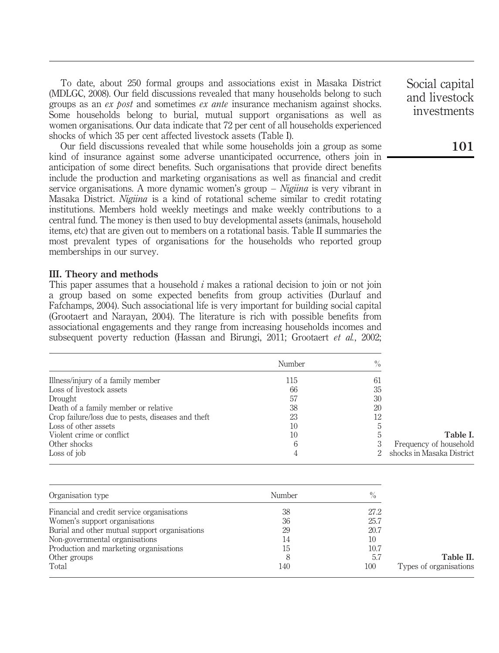To date, about 250 formal groups and associations exist in Masaka District (MDLGC, 2008). Our field discussions revealed that many households belong to such groups as an ex post and sometimes ex ante insurance mechanism against shocks. Some households belong to burial, mutual support organisations as well as women organisations. Our data indicate that 72 per cent of all households experienced shocks of which 35 per cent affected livestock assets (Table I).

Our field discussions revealed that while some households join a group as some kind of insurance against some adverse unanticipated occurrence, others join in anticipation of some direct benefits. Such organisations that provide direct benefits include the production and marketing organisations as well as financial and credit service organisations. A more dynamic women's group – *Nigiina* is very vibrant in Masaka District. Nigiina is a kind of rotational scheme similar to credit rotating institutions. Members hold weekly meetings and make weekly contributions to a central fund. The money is then used to buy developmental assets (animals, household items, etc) that are given out to members on a rotational basis. Table II summaries the most prevalent types of organisations for the households who reported group memberships in our survey.

## III. Theory and methods

This paper assumes that a household  $i$  makes a rational decision to join or not join a group based on some expected benefits from group activities (Durlauf and Fafchamps, 2004). Such associational life is very important for building social capital (Grootaert and Narayan, 2004). The literature is rich with possible benefits from associational engagements and they range from increasing households incomes and subsequent poverty reduction (Hassan and Birungi, 2011; Grootaert et al., 2002;

|                                                    | Number | $\frac{0}{0}$ |                           |
|----------------------------------------------------|--------|---------------|---------------------------|
| Illness/injury of a family member                  | 115    | 61            |                           |
| Loss of livestock assets                           | 66     | 35            |                           |
| Drought                                            | 57     | 30            |                           |
| Death of a family member or relative               | 38     | 20            |                           |
| Crop failure/loss due to pests, diseases and theft | 23     | 12            |                           |
| Loss of other assets                               | 10     |               |                           |
| Violent crime or conflict                          | 10     | :C            | Table I.                  |
| Other shocks                                       | h      |               | Frequency of household    |
| Loss of job                                        |        |               | shocks in Masaka District |

| Organisation type                             | Number | $\frac{0}{0}$ |                        |
|-----------------------------------------------|--------|---------------|------------------------|
| Financial and credit service organisations    | 38     | 27.2          |                        |
| Women's support organisations                 | 36     | 25.7          |                        |
| Burial and other mutual support organisations | 29     | 20.7          |                        |
| Non-governmental organisations                | 14     | 10            |                        |
| Production and marketing organisations        | 15     | 10.7          |                        |
| Other groups                                  | 8      | 5.7           | Table II.              |
| Total                                         | 140    | 100           | Types of organisations |

Social capital and livestock investments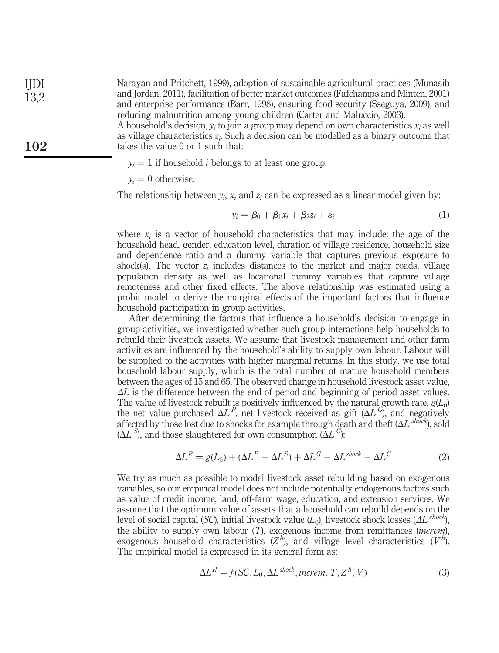Narayan and Pritchett, 1999), adoption of sustainable agricultural practices (Munasib and Jordan, 2011), facilitation of better market outcomes (Fafchamps and Minten, 2001) and enterprise performance (Barr, 1998), ensuring food security (Sseguya, 2009), and reducing malnutrition among young children (Carter and Maluccio, 2003).

A household's decision,  $y_i$  to join a group may depend on own characteristics  $x_i$  as well as village characteristics  $z_i$ . Such a decision can be modelled as a binary outcome that takes the value 0 or 1 such that:

 $y_i = 1$  if household *i* belongs to at least one group.

 $v_i = 0$  otherwise.

The relationship between  $y_i$ ,  $x_i$  and  $z_i$  can be expressed as a linear model given by:

$$
y_i = \beta_0 + \beta_1 x_i + \beta_2 z_i + \varepsilon_i \tag{1}
$$

where  $x_i$  is a vector of household characteristics that may include: the age of the household head, gender, education level, duration of village residence, household size and dependence ratio and a dummy variable that captures previous exposure to shock(s). The vector  $z_i$  includes distances to the market and major roads, village population density as well as locational dummy variables that capture village remoteness and other fixed effects. The above relationship was estimated using a probit model to derive the marginal effects of the important factors that influence household participation in group activities.

After determining the factors that influence a household's decision to engage in group activities, we investigated whether such group interactions help households to rebuild their livestock assets. We assume that livestock management and other farm activities are influenced by the household's ability to supply own labour. Labour will be supplied to the activities with higher marginal returns. In this study, we use total household labour supply, which is the total number of mature household members between the ages of 15 and 65. The observed change in household livestock asset value,  $\Delta L$  is the difference between the end of period and beginning of period asset values. The value of livestock rebuilt is positively influenced by the natural growth rate,  $g(L_0)$ the net value purchased  $\Delta L^P$ , net livestock received as gift  $(\Delta L^G)$ , and negatively affected by those lost due to shocks for example through death and theft  $(\Delta L^{shock})$ , sold  $(\Delta L^S)$ , and those slaughtered for own consumption  $(\Delta L^C)$ :

$$
\Delta L^R = g(L_0) + (\Delta L^P - \Delta L^S) + \Delta L^G - \Delta L^{shock} - \Delta L^C \tag{2}
$$

We try as much as possible to model livestock asset rebuilding based on exogenous variables, so our empirical model does not include potentially endogenous factors such as value of credit income, land, off-farm wage, education, and extension services. We assume that the optimum value of assets that a household can rebuild depends on the level of social capital (SC), initial livestock value  $(L_0)$ , livestock shock losses  $(\Delta L^{shock})$ , the ability to supply own labour  $(T)$ , exogenous income from remittances *(increm)*, exogenous household characteristics  $(Z^h)$ , and village level characteristics  $(V^h)$ . The empirical model is expressed in its general form as:

$$
\Delta L^R = f(SC, L_0, \Delta L^{shock}, increment, T, Z^h, V)
$$
\n(3)

IJDI 13,2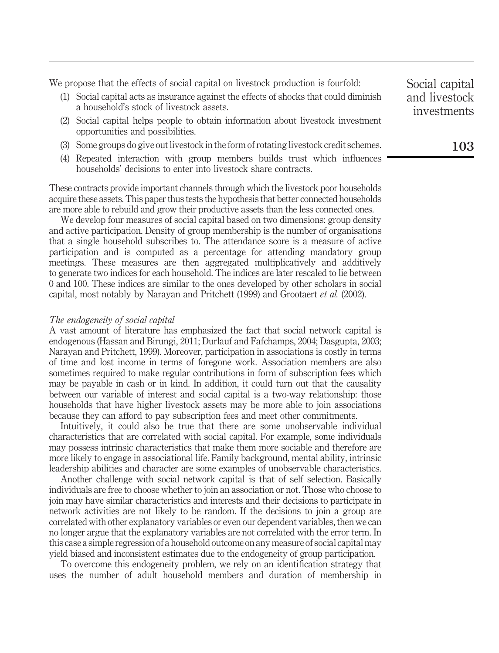We propose that the effects of social capital on livestock production is fourfold:

- (1) Social capital acts as insurance against the effects of shocks that could diminish a household's stock of livestock assets.
- (2) Social capital helps people to obtain information about livestock investment opportunities and possibilities.
- (3) Some groups do give out livestock in the form of rotating livestock credit schemes.
- (4) Repeated interaction with group members builds trust which influences households' decisions to enter into livestock share contracts.

These contracts provide important channels through which the livestock poor households acquire these assets. This paper thus tests the hypothesis that better connected households are more able to rebuild and grow their productive assets than the less connected ones.

We develop four measures of social capital based on two dimensions: group density and active participation. Density of group membership is the number of organisations that a single household subscribes to. The attendance score is a measure of active participation and is computed as a percentage for attending mandatory group meetings. These measures are then aggregated multiplicatively and additively to generate two indices for each household. The indices are later rescaled to lie between 0 and 100. These indices are similar to the ones developed by other scholars in social capital, most notably by Narayan and Pritchett (1999) and Grootaert et al. (2002).

#### The endogeneity of social capital

A vast amount of literature has emphasized the fact that social network capital is endogenous (Hassan and Birungi, 2011; Durlauf and Fafchamps, 2004; Dasgupta, 2003; Narayan and Pritchett, 1999). Moreover, participation in associations is costly in terms of time and lost income in terms of foregone work. Association members are also sometimes required to make regular contributions in form of subscription fees which may be payable in cash or in kind. In addition, it could turn out that the causality between our variable of interest and social capital is a two-way relationship: those households that have higher livestock assets may be more able to join associations because they can afford to pay subscription fees and meet other commitments.

Intuitively, it could also be true that there are some unobservable individual characteristics that are correlated with social capital. For example, some individuals may possess intrinsic characteristics that make them more sociable and therefore are more likely to engage in associational life. Family background, mental ability, intrinsic leadership abilities and character are some examples of unobservable characteristics.

Another challenge with social network capital is that of self selection. Basically individuals are free to choose whether to join an association or not. Those who choose to join may have similar characteristics and interests and their decisions to participate in network activities are not likely to be random. If the decisions to join a group are correlated with other explanatory variables or even our dependent variables, then we can no longer argue that the explanatory variables are not correlated with the error term. In this case a simple regression of a household outcome on any measure of social capital may yield biased and inconsistent estimates due to the endogeneity of group participation.

To overcome this endogeneity problem, we rely on an identification strategy that uses the number of adult household members and duration of membership in Social capital and livestock investments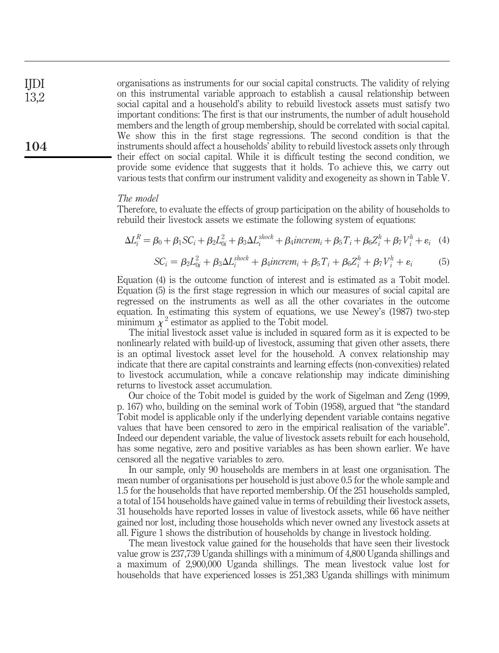organisations as instruments for our social capital constructs. The validity of relying on this instrumental variable approach to establish a causal relationship between social capital and a household's ability to rebuild livestock assets must satisfy two important conditions: The first is that our instruments, the number of adult household members and the length of group membership, should be correlated with social capital. We show this in the first stage regressions. The second condition is that the instruments should affect a households' ability to rebuild livestock assets only through their effect on social capital. While it is difficult testing the second condition, we provide some evidence that suggests that it holds. To achieve this, we carry out various tests that confirm our instrument validity and exogeneity as shown in Table V.

#### The model

Therefore, to evaluate the effects of group participation on the ability of households to rebuild their livestock assets we estimate the following system of equations:

$$
\Delta L_i^R = \beta_0 + \beta_1 SC_i + \beta_2 L_{0i}^2 + \beta_3 \Delta L_i^{shock} + \beta_4 inorem_i + \beta_5 T_i + \beta_6 Z_i^h + \beta_7 V_i^h + \varepsilon_i \quad (4)
$$

$$
SC_i = \beta_2 L_{0i}^2 + \beta_3 \Delta L_i^{shock} + \beta_4 increment_i + \beta_5 T_i + \beta_6 Z_i^h + \beta_7 V_i^h + \varepsilon_i
$$
 (5)

Equation (4) is the outcome function of interest and is estimated as a Tobit model. Equation (5) is the first stage regression in which our measures of social capital are regressed on the instruments as well as all the other covariates in the outcome equation. In estimating this system of equations, we use Newey's (1987) two-step minimum  $\chi^2$  estimator as applied to the Tobit model.

The initial livestock asset value is included in squared form as it is expected to be nonlinearly related with build-up of livestock, assuming that given other assets, there is an optimal livestock asset level for the household. A convex relationship may indicate that there are capital constraints and learning effects (non-convexities) related to livestock accumulation, while a concave relationship may indicate diminishing returns to livestock asset accumulation.

Our choice of the Tobit model is guided by the work of Sigelman and Zeng (1999, p. 167) who, building on the seminal work of Tobin (1958), argued that "the standard Tobit model is applicable only if the underlying dependent variable contains negative values that have been censored to zero in the empirical realisation of the variable". Indeed our dependent variable, the value of livestock assets rebuilt for each household, has some negative, zero and positive variables as has been shown earlier. We have censored all the negative variables to zero.

In our sample, only 90 households are members in at least one organisation. The mean number of organisations per household is just above 0.5 for the whole sample and 1.5 for the households that have reported membership. Of the 251 households sampled, a total of 154 households have gained value in terms of rebuilding their livestock assets, 31 households have reported losses in value of livestock assets, while 66 have neither gained nor lost, including those households which never owned any livestock assets at all. Figure 1 shows the distribution of households by change in livestock holding.

The mean livestock value gained for the households that have seen their livestock value grow is 237,739 Uganda shillings with a minimum of 4,800 Uganda shillings and a maximum of 2,900,000 Uganda shillings. The mean livestock value lost for households that have experienced losses is 251,383 Uganda shillings with minimum

IJDI 13,2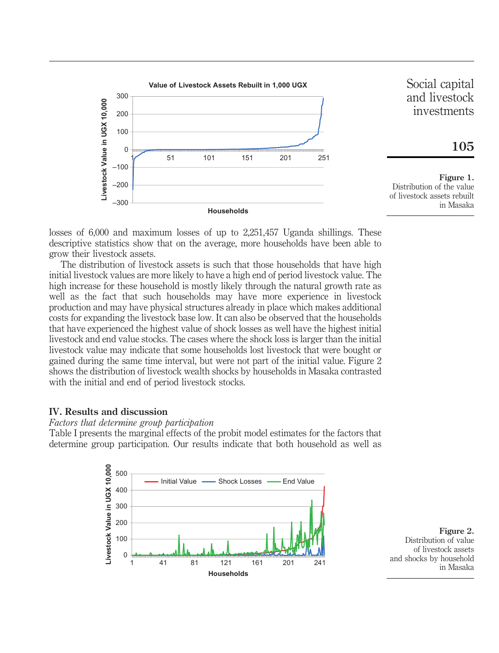

losses of 6,000 and maximum losses of up to 2,251,457 Uganda shillings. These descriptive statistics show that on the average, more households have been able to grow their livestock assets.

The distribution of livestock assets is such that those households that have high initial livestock values are more likely to have a high end of period livestock value. The high increase for these household is mostly likely through the natural growth rate as well as the fact that such households may have more experience in livestock production and may have physical structures already in place which makes additional costs for expanding the livestock base low. It can also be observed that the households that have experienced the highest value of shock losses as well have the highest initial livestock and end value stocks. The cases where the shock loss is larger than the initial livestock value may indicate that some households lost livestock that were bought or gained during the same time interval, but were not part of the initial value. Figure 2 shows the distribution of livestock wealth shocks by households in Masaka contrasted with the initial and end of period livestock stocks.

#### IV. Results and discussion

Factors that determine group participation

Table I presents the marginal effects of the probit model estimates for the factors that determine group participation. Our results indicate that both household as well as



Figure 2. Distribution of value of livestock assets and shocks by household in Masaka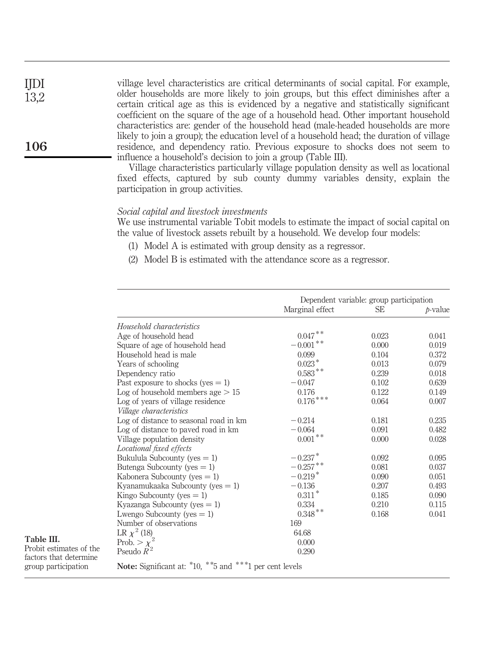village level characteristics are critical determinants of social capital. For example, older households are more likely to join groups, but this effect diminishes after a certain critical age as this is evidenced by a negative and statistically significant coefficient on the square of the age of a household head. Other important household characteristics are: gender of the household head (male-headed households are more likely to join a group); the education level of a household head; the duration of village residence, and dependency ratio. Previous exposure to shocks does not seem to influence a household's decision to join a group (Table III). IJDI 13,2

Village characteristics particularly village population density as well as locational fixed effects, captured by sub county dummy variables density, explain the participation in group activities.

#### Social capital and livestock investments

We use instrumental variable Tobit models to estimate the impact of social capital on the value of livestock assets rebuilt by a household. We develop four models:

- (1) Model A is estimated with group density as a regressor.
- (2) Model B is estimated with the attendance score as a regressor.

|                                                   |                                                                |                 | Dependent variable: group participation |                 |
|---------------------------------------------------|----------------------------------------------------------------|-----------------|-----------------------------------------|-----------------|
|                                                   |                                                                | Marginal effect | <b>SE</b>                               | <i>b</i> -value |
|                                                   | Household characteristics                                      |                 |                                         |                 |
|                                                   | Age of household head                                          | $0.047**$       | 0.023                                   | 0.041           |
|                                                   | Square of age of household head                                | $-0.001$ **     | 0.000                                   | 0.019           |
|                                                   | Household head is male                                         | 0.099           | 0.104                                   | 0.372           |
|                                                   | Years of schooling                                             | $0.023*$        | 0.013                                   | 0.079           |
|                                                   | Dependency ratio                                               | $0.583**$       | 0.239                                   | 0.018           |
|                                                   | Past exposure to shocks (yes $= 1$ )                           | $-0.047$        | 0.102                                   | 0.639           |
|                                                   | Log of household members $age > 15$                            | 0.176           | 0.122                                   | 0.149           |
|                                                   | Log of years of village residence                              | $0.176\,***$    | 0.064                                   | 0.007           |
|                                                   | Village characteristics                                        |                 |                                         |                 |
|                                                   | Log of distance to seasonal road in km                         | $-0.214$        | 0.181                                   | 0.235           |
|                                                   | Log of distance to paved road in km                            | $-0.064$        | 0.091                                   | 0.482           |
|                                                   | Village population density                                     | $0.001$ **      | 0.000                                   | 0.028           |
|                                                   | Locational fixed effects                                       |                 |                                         |                 |
|                                                   | Bukulula Subcounty ( $yes = 1$ )                               | $-0.237*$       | 0.092                                   | 0.095           |
|                                                   | Butenga Subcounty ( $ves = 1$ )                                | $-0.257$ **     | 0.081                                   | 0.037           |
|                                                   | Kabonera Subcounty ( $yes = 1$ )                               | $-0.219*$       | 0.090                                   | 0.051           |
|                                                   | Kyanamukaaka Subcounty (yes $= 1$ )                            | $-0.136$        | 0.207                                   | 0.493           |
|                                                   | Kingo Subcounty ( $ves = 1$ )                                  | $0.311*$        | 0.185                                   | 0.090           |
|                                                   | Kyazanga Subcounty (yes $= 1$ )                                | 0.334           | 0.210                                   | 0.115           |
|                                                   | Lwengo Subcounty ( $ves = 1$ )                                 | $0.348\,^{**}$  | 0.168                                   | 0.041           |
|                                                   | Number of observations                                         | 169             |                                         |                 |
|                                                   | LR $\chi^2$ (18)                                               | 64.68           |                                         |                 |
| Table III.                                        | Prob. $> \chi^2$                                               | 0.000           |                                         |                 |
| Probit estimates of the<br>factors that determine | Pseudo $R^2$                                                   | 0.290           |                                         |                 |
| group participation                               | Note: Significant at: $*10$ , $**5$ and $***1$ per cent levels |                 |                                         |                 |

106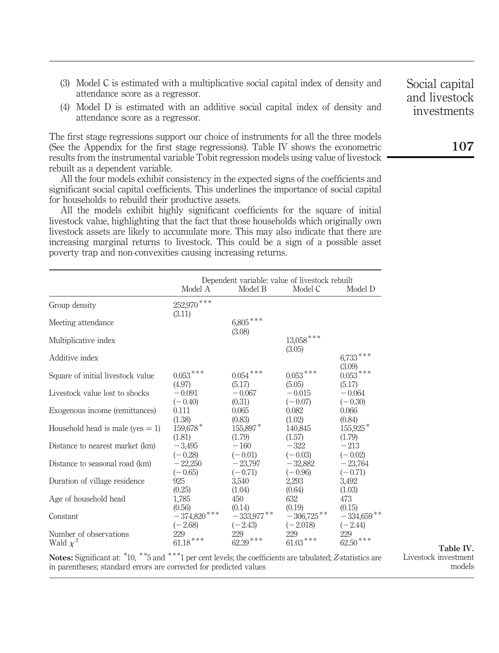- (3) Model C is estimated with a multiplicative social capital index of density and attendance score as a regressor.
- (4) Model D is estimated with an additive social capital index of density and attendance score as a regressor.

The first stage regressions support our choice of instruments for all the three models (See the Appendix for the first stage regressions). Table IV shows the econometric results from the instrumental variable Tobit regression models using value of livestock rebuilt as a dependent variable.

All the four models exhibit consistency in the expected signs of the coefficients and significant social capital coefficients. This underlines the importance of social capital for households to rebuild their productive assets.

All the models exhibit highly significant coefficients for the square of initial livestock value, highlighting that the fact that those households which originally own livestock assets are likely to accumulate more. This may also indicate that there are increasing marginal returns to livestock. This could be a sign of a possible asset poverty trap and non-convexities causing increasing returns.

|                                         | Model A                             | Dependent variable: value of livestock rebuilt<br>Model B | Model C                                      | Model D                                                                 |
|-----------------------------------------|-------------------------------------|-----------------------------------------------------------|----------------------------------------------|-------------------------------------------------------------------------|
| Group density                           | 252,970***                          |                                                           |                                              |                                                                         |
| Meeting attendance                      | (3.11)                              | $6,805***$<br>(3.08)                                      |                                              |                                                                         |
| Multiplicative index                    |                                     |                                                           | $13,058$ ***<br>(3.05)                       |                                                                         |
| Additive index                          |                                     |                                                           |                                              | $6,733$ ***                                                             |
| Square of initial livestock value       | $0.053\,***$<br>(4.97)              | $0.054$ ***<br>(5.17)                                     | $0.053\,***$<br>(5.05)                       | (3.09)<br>$0.05\overset{\scriptscriptstyle \circ}{3}{}^{***}$<br>(5.17) |
| Livestock value lost to shocks          | $-0.091$<br>$(-0.40)$               | $-0.067$<br>(0.31)                                        | $-0.015$<br>$(-0.07)$                        | $-0.064$<br>$(-0.30)$                                                   |
| Exogenous income (remittances)          | 0.111<br>(1.38)                     | 0.065<br>(0.83)                                           | 0.082<br>(1.02)                              | 0.066<br>(0.84)                                                         |
| Household head is male ( $yes = 1$ )    | 159,678*<br>(1.81)                  | 155,897*<br>(1.79)                                        | 140,845<br>(1.57)                            | $155,925$ *<br>(1.79)                                                   |
| Distance to nearest market (km)         | $-3,495$<br>$(-0.28)$               | $-160$<br>$(-0.01)$                                       | $-322$<br>$(-0.03)$                          | $-213$<br>$(-0.02)$                                                     |
| Distance to seasonal road (km)          | $-22,250$<br>$(-0.65)$              | $-23,797$<br>$(-0.71)$                                    | $-32,882$<br>$(-0.96)$                       | $-23,764$<br>$(-0.71)$                                                  |
| Duration of village residence           | 925<br>(0.25)                       | 3,540<br>(1.04)                                           | 2,293<br>(0.64)                              | 3,492<br>(1.03)                                                         |
| Age of household head                   | 1,785<br>(0.56)                     | 450<br>(0.14)                                             | 632<br>(0.19)                                | 473<br>(0.15)                                                           |
| Constant                                | $-374,820***$                       | $-333,977$ **                                             | $-306,725***$                                | $-334,659$ **                                                           |
| Number of observations<br>Wald $\chi^2$ | $(-2.68)$<br>229<br>$61.18^{\,***}$ | $(-2.43)$<br>229<br>62.39***                              | $(-2.018)$<br>229<br>$61.03$ $^{\ast\,*\,*}$ | $(-2.44)$<br>229<br>$62.50***$                                          |

Notes: Significant at:  $*10$ ,  $**5$  and  $**1$  per cent levels; the coefficients are tabulated; Z-statistics are in parentheses; standard errors are corrected for predicted values

Table IV. Livestock investment models

Social capital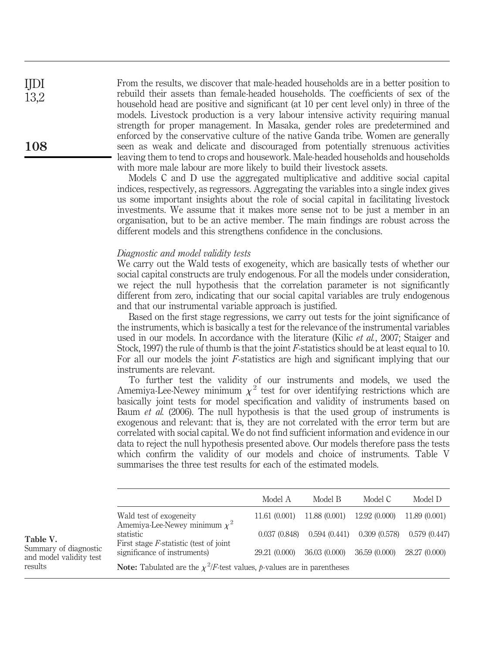From the results, we discover that male-headed households are in a better position to rebuild their assets than female-headed households. The coefficients of sex of the household head are positive and significant (at 10 per cent level only) in three of the models. Livestock production is a very labour intensive activity requiring manual strength for proper management. In Masaka, gender roles are predetermined and enforced by the conservative culture of the native Ganda tribe. Women are generally seen as weak and delicate and discouraged from potentially strenuous activities leaving them to tend to crops and housework. Male-headed households and households with more male labour are more likely to build their livestock assets.

Models C and D use the aggregated multiplicative and additive social capital indices, respectively, as regressors. Aggregating the variables into a single index gives us some important insights about the role of social capital in facilitating livestock investments. We assume that it makes more sense not to be just a member in an organisation, but to be an active member. The main findings are robust across the different models and this strengthens confidence in the conclusions.

#### Diagnostic and model validity tests

We carry out the Wald tests of exogeneity, which are basically tests of whether our social capital constructs are truly endogenous. For all the models under consideration, we reject the null hypothesis that the correlation parameter is not significantly different from zero, indicating that our social capital variables are truly endogenous and that our instrumental variable approach is justified.

Based on the first stage regressions, we carry out tests for the joint significance of the instruments, which is basically a test for the relevance of the instrumental variables used in our models. In accordance with the literature (Kilic *et al.*, 2007; Staiger and Stock, 1997) the rule of thumb is that the joint  $F$ -statistics should be at least equal to 10. For all our models the joint F-statistics are high and significant implying that our instruments are relevant.

To further test the validity of our instruments and models, we used the Amemiya-Lee-Newey minimum  $\chi^2$  test for over identifying restrictions which are basically joint tests for model specification and validity of instruments based on Baum et al. (2006). The null hypothesis is that the used group of instruments is exogenous and relevant: that is, they are not correlated with the error term but are correlated with social capital. We do not find sufficient information and evidence in our data to reject the null hypothesis presented above. Our models therefore pass the tests which confirm the validity of our models and choice of instruments. Table V summarises the three test results for each of the estimated models.

|                                                  |                                                                                             | Model A       | Model B       | Model C       | Model D       |
|--------------------------------------------------|---------------------------------------------------------------------------------------------|---------------|---------------|---------------|---------------|
|                                                  | Wald test of exogeneity<br>Amemiya-Lee-Newey minimum $\chi^2$                               | 11.61 (0.001) | 11.88 (0.001) | 12.92 (0.000) | 11.89 (0.001) |
| Table V.                                         | statistic<br>First stage $F$ -statistic (test of joint                                      | 0.037(0.848)  | 0.594(0.441)  | 0.309(0.578)  | 0.579(0.447)  |
| Summary of diagnostic<br>and model validity test | significance of instruments)                                                                | 29.21 (0.000) | 36.03 (0.000) | 36.59 (0.000) | 28.27 (0.000) |
| results                                          | <b>Note:</b> Tabulated are the $\chi^2/F$ -test values, <i>p</i> -values are in parentheses |               |               |               |               |

108

IJDI 13,2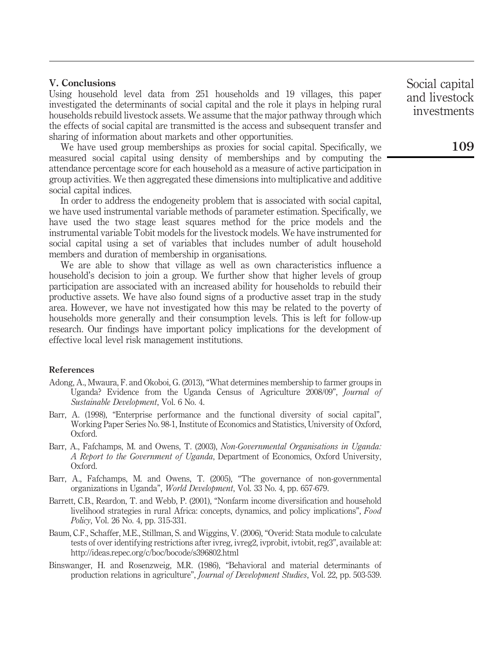## V. Conclusions

Using household level data from 251 households and 19 villages, this paper investigated the determinants of social capital and the role it plays in helping rural households rebuild livestock assets. We assume that the major pathway through which the effects of social capital are transmitted is the access and subsequent transfer and sharing of information about markets and other opportunities.

We have used group memberships as proxies for social capital. Specifically, we measured social capital using density of memberships and by computing the attendance percentage score for each household as a measure of active participation in group activities. We then aggregated these dimensions into multiplicative and additive social capital indices.

In order to address the endogeneity problem that is associated with social capital, we have used instrumental variable methods of parameter estimation. Specifically, we have used the two stage least squares method for the price models and the instrumental variable Tobit models for the livestock models. We have instrumented for social capital using a set of variables that includes number of adult household members and duration of membership in organisations.

We are able to show that village as well as own characteristics influence a household's decision to join a group. We further show that higher levels of group participation are associated with an increased ability for households to rebuild their productive assets. We have also found signs of a productive asset trap in the study area. However, we have not investigated how this may be related to the poverty of households more generally and their consumption levels. This is left for follow-up research. Our findings have important policy implications for the development of effective local level risk management institutions.

#### References

- Adong, A., Mwaura, F. and Okoboi, G. (2013), "What determines membership to farmer groups in Uganda? Evidence from the Uganda Census of Agriculture 2008/09", Journal of Sustainable Development, Vol. 6 No. 4.
- Barr, A. (1998), "Enterprise performance and the functional diversity of social capital", Working Paper Series No. 98-1, Institute of Economics and Statistics, University of Oxford, Oxford.
- Barr, A., Fafchamps, M. and Owens, T. (2003), Non-Governmental Organisations in Uganda: A Report to the Government of Uganda, Department of Economics, Oxford University, Oxford.
- Barr, A., Fafchamps, M. and Owens, T. (2005), "The governance of non-governmental organizations in Uganda", World Development, Vol. 33 No. 4, pp. 657-679.
- Barrett, C.B., Reardon, T. and Webb, P. (2001), "Nonfarm income diversification and household livelihood strategies in rural Africa: concepts, dynamics, and policy implications", Food Policy, Vol. 26 No. 4, pp. 315-331.
- Baum, C.F., Schaffer, M.E., Stillman, S. and Wiggins, V. (2006), "Overid: Stata module to calculate tests of over identifying restrictions after ivreg, ivreg2, ivprobit, ivtobit, reg3", available at: http://ideas.repec.org/c/boc/bocode/s396802.html
- Binswanger, H. and Rosenzweig, M.R. (1986), "Behavioral and material determinants of production relations in agriculture", Journal of Development Studies, Vol. 22, pp. 503-539.

Social capital and livestock investments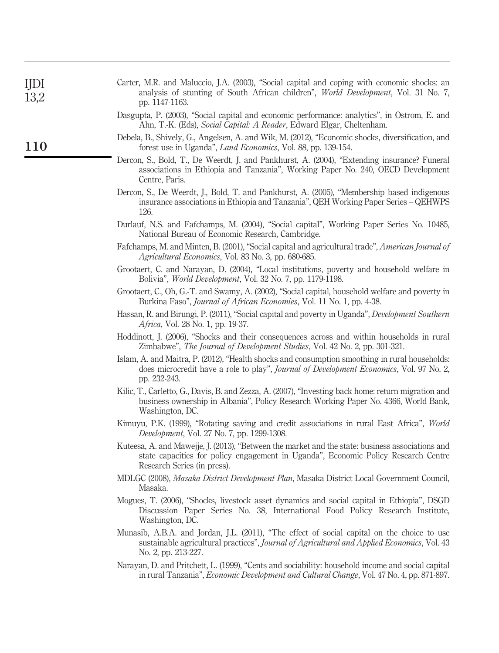| IJDI<br>13,2 | Carter, M.R. and Maluccio, J.A. (2003), "Social capital and coping with economic shocks: an<br>analysis of stunting of South African children", World Development, Vol. 31 No. 7,<br>pp. 1147-1163.                   |
|--------------|-----------------------------------------------------------------------------------------------------------------------------------------------------------------------------------------------------------------------|
|              | Dasgupta, P. (2003), "Social capital and economic performance: analytics", in Ostrom, E. and<br>Ahn, T.-K. (Eds), Social Capital: A Reader, Edward Elgar, Cheltenham.                                                 |
| <b>110</b>   | Debela, B., Shively, G., Angelsen, A. and Wik, M. (2012), "Economic shocks, diversification, and<br>forest use in Uganda", Land Economics, Vol. 88, pp. 139-154.                                                      |
|              | Dercon, S., Bold, T., De Weerdt, J. and Pankhurst, A. (2004), "Extending insurance? Funeral<br>associations in Ethiopia and Tanzania", Working Paper No. 240, OECD Development<br>Centre, Paris.                      |
|              | Dercon, S., De Weerdt, J., Bold, T. and Pankhurst, A. (2005), "Membership based indigenous<br>insurance associations in Ethiopia and Tanzania", QEH Working Paper Series – QEHWPS<br>126.                             |
|              | Durlauf, N.S. and Fafchamps, M. (2004), "Social capital", Working Paper Series No. 10485,<br>National Bureau of Economic Research, Cambridge.                                                                         |
|              | Fafchamps, M. and Minten, B. (2001), "Social capital and agricultural trade", American Journal of<br>Agricultural Economics, Vol. 83 No. 3, pp. 680-685.                                                              |
|              | Grootaert, C. and Narayan, D. (2004), "Local institutions, poverty and household welfare in<br>Bolivia", World Development, Vol. 32 No. 7, pp. 1179-1198.                                                             |
|              | Grootaert, C., Oh, G.-T. and Swamy, A. (2002), "Social capital, household welfare and poverty in<br>Burkina Faso", Journal of African Economies, Vol. 11 No. 1, pp. 4-38.                                             |
|              | Hassan, R. and Birungi, P. (2011), "Social capital and poverty in Uganda", Development Southern<br><i>Africa</i> , Vol. 28 No. 1, pp. 19-37.                                                                          |
|              | Hoddinott, J. (2006), "Shocks and their consequences across and within households in rural<br>Zimbabwe", The Journal of Development Studies, Vol. 42 No. 2, pp. 301-321.                                              |
|              | Islam, A. and Maitra, P. (2012), "Health shocks and consumption smoothing in rural households:<br>does microcredit have a role to play", Journal of Development Economics, Vol. 97 No. 2,<br>pp. 232-243.             |
|              | Kilic, T., Carletto, G., Davis, B. and Zezza, A. (2007), "Investing back home: return migration and<br>business ownership in Albania", Policy Research Working Paper No. 4366, World Bank,<br>Washington, DC.         |
|              | Kimuyu, P.K. (1999), "Rotating saving and credit associations in rural East Africa", World<br>Development, Vol. 27 No. 7, pp. 1299-1308.                                                                              |
|              | Kuteesa, A. and Mawejje, J. (2013), "Between the market and the state: business associations and<br>state capacities for policy engagement in Uganda", Economic Policy Research Centre<br>Research Series (in press). |
|              | MDLGC (2008), Masaka District Development Plan, Masaka District Local Government Council,<br>Masaka.                                                                                                                  |
|              | Mogues, T. (2006), "Shocks, livestock asset dynamics and social capital in Ethiopia", DSGD<br>Discussion Paper Series No. 38, International Food Policy Research Institute,<br>Washington, DC.                        |
|              | Munasib, A.B.A. and Jordan, J.L. (2011), "The effect of social capital on the choice to use<br>sustainable agricultural practices", Journal of Agricultural and Applied Economics, Vol. 43<br>No. 2, pp. 213-227.     |
|              | Narayan, D. and Pritchett, L. (1999), "Cents and sociability: household income and social capital<br>in rural Tanzania", <i>Economic Development and Cultural Change</i> , Vol. 47 No. 4, pp. 871-897.                |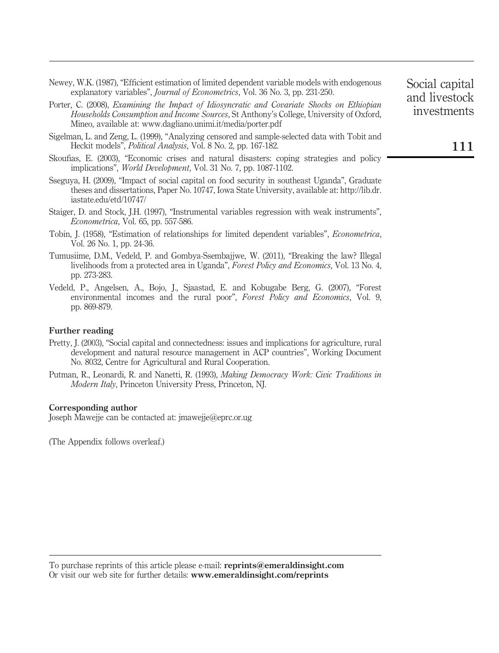- Newey, W.K. (1987), "Efficient estimation of limited dependent variable models with endogenous explanatory variables", Journal of Econometrics, Vol. 36 No. 3, pp. 231-250.
- Porter, C. (2008), Examining the Impact of Idiosyncratic and Covariate Shocks on Ethiopian Households Consumption and Income Sources, St Anthony's College, University of Oxford, Mineo, available at: www.dagliano.unimi.it/media/porter.pdf
- Sigelman, L. and Zeng, L. (1999), "Analyzing censored and sample-selected data with Tobit and Heckit models", Political Analysis, Vol. 8 No. 2, pp. 167-182.
- Skoufias, E. (2003), "Economic crises and natural disasters: coping strategies and policy implications", World Development, Vol. 31 No. 7, pp. 1087-1102.
- Sseguya, H. (2009), "Impact of social capital on food security in southeast Uganda", Graduate theses and dissertations, Paper No. 10747, Iowa State University, available at: http://lib.dr. iastate.edu/etd/10747/
- Staiger, D. and Stock, J.H. (1997), "Instrumental variables regression with weak instruments", Econometrica, Vol. 65, pp. 557-586.
- Tobin, J. (1958), "Estimation of relationships for limited dependent variables", Econometrica, Vol. 26 No. 1, pp. 24-36.
- Tumusiime, D.M., Vedeld, P. and Gombya-Ssembajjwe, W. (2011), "Breaking the law? Illegal livelihoods from a protected area in Uganda", Forest Policy and Economics, Vol. 13 No. 4, pp. 273-283.
- Vedeld, P., Angelsen, A., Bojo, J., Sjaastad, E. and Kobugabe Berg, G. (2007), "Forest environmental incomes and the rural poor", Forest Policy and Economics, Vol. 9, pp. 869-879.

#### Further reading

- Pretty, J. (2003), "Social capital and connectedness: issues and implications for agriculture, rural development and natural resource management in ACP countries", Working Document No. 8032, Centre for Agricultural and Rural Cooperation.
- Putman, R., Leonardi, R. and Nanetti, R. (1993), Making Democracy Work: Civic Traditions in Modern Italy, Princeton University Press, Princeton, NJ.

#### Corresponding author

Joseph Mawejje can be contacted at: jmawejje@eprc.or.ug

(The Appendix follows overleaf.)

Social capital

To purchase reprints of this article please e-mail: reprints@emeraldinsight.com Or visit our web site for further details: www.emeraldinsight.com/reprints